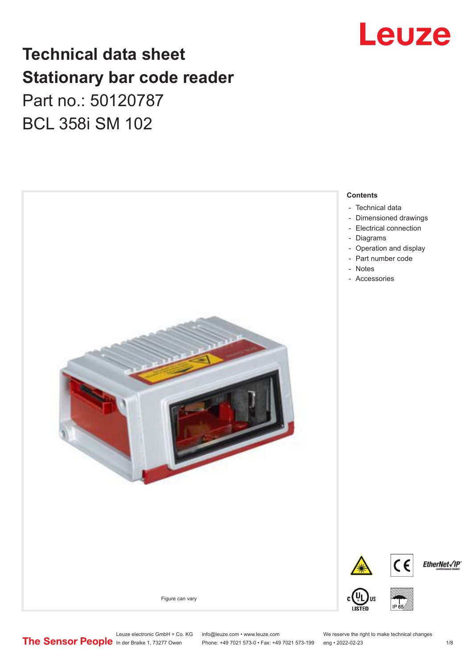

### **Technical data sheet Stationary bar code reader** Part no.: 50120787 BCL 358i SM 102



Leuze electronic GmbH + Co. KG info@leuze.com • www.leuze.com We reserve the right to make technical changes<br>
The Sensor People in der Braike 1, 73277 Owen Phone: +49 7021 573-0 • Fax: +49 7021 573-199 eng • 2022-02-23

Phone: +49 7021 573-0 • Fax: +49 7021 573-199 eng • 2022-02-23 1 /8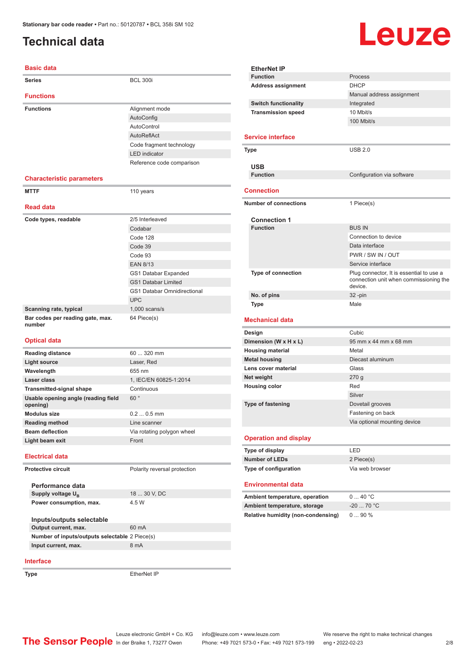### <span id="page-1-0"></span>**Technical data**

# **Leuze**

| <b>Basic data</b>                               |                                    |
|-------------------------------------------------|------------------------------------|
| <b>Series</b>                                   | <b>BCL 300i</b>                    |
| <b>Functions</b>                                |                                    |
| <b>Functions</b>                                | Alignment mode                     |
|                                                 | AutoConfig                         |
|                                                 | AutoControl                        |
|                                                 | AutoReflAct                        |
|                                                 | Code fragment technology           |
|                                                 | <b>LED</b> indicator               |
|                                                 | Reference code comparison          |
| <b>Characteristic parameters</b>                |                                    |
| <b>MTTF</b>                                     | 110 years                          |
|                                                 |                                    |
| <b>Read data</b>                                |                                    |
| Code types, readable                            | 2/5 Interleaved                    |
|                                                 | Codabar                            |
|                                                 | Code 128                           |
|                                                 | Code 39                            |
|                                                 | Code 93                            |
|                                                 | <b>EAN 8/13</b>                    |
|                                                 | GS1 Databar Expanded               |
|                                                 | <b>GS1 Databar Limited</b>         |
|                                                 | <b>GS1 Databar Omnidirectional</b> |
|                                                 | <b>UPC</b>                         |
| Scanning rate, typical                          | $1,000$ scans/s                    |
| Bar codes per reading gate, max.<br>number      | 64 Piece(s)                        |
| <b>Optical data</b>                             |                                    |
| <b>Reading distance</b>                         | 60  320 mm                         |
| <b>Light source</b>                             | Laser, Red                         |
| Wavelength                                      | 655 nm                             |
| Laser class                                     | 1, IEC/EN 60825-1:2014             |
| <b>Transmitted-signal shape</b>                 | Continuous                         |
| Usable opening angle (reading field<br>opening) | 60°                                |
| <b>Modulus size</b>                             | $0.20.5$ mm                        |
| <b>Reading method</b>                           | Line scanner                       |
| <b>Beam deflection</b>                          | Via rotating polygon wheel         |
| Light beam exit                                 | Front                              |
| <b>Electrical data</b>                          |                                    |
| Protective circuit                              | Polarity reversal protection       |
| Performance data                                |                                    |
| Supply voltage U <sub>B</sub>                   | 18  30 V, DC                       |
| Power consumption, max.                         | 4.5 W                              |
|                                                 |                                    |
| Inputs/outputs selectable                       |                                    |
| Output current, max.                            | 60 mA                              |
| Number of inputs/outputs selectable 2 Piece(s)  |                                    |
| Input current, max.                             | 8 mA                               |

|  | <b>Function</b>                           | Process                                           |  |
|--|-------------------------------------------|---------------------------------------------------|--|
|  | <b>Address assignment</b>                 | <b>DHCP</b>                                       |  |
|  |                                           | Manual address assignment                         |  |
|  | <b>Switch functionality</b>               | Integrated                                        |  |
|  | <b>Transmission speed</b>                 | 10 Mbit/s                                         |  |
|  |                                           | 100 Mbit/s                                        |  |
|  |                                           |                                                   |  |
|  | <b>Service interface</b>                  |                                                   |  |
|  | Type                                      | <b>USB 2.0</b>                                    |  |
|  |                                           |                                                   |  |
|  | <b>USB</b>                                |                                                   |  |
|  | <b>Function</b>                           | Configuration via software                        |  |
|  |                                           |                                                   |  |
|  | <b>Connection</b>                         |                                                   |  |
|  | <b>Number of connections</b>              | 1 Piece(s)                                        |  |
|  |                                           |                                                   |  |
|  | <b>Connection 1</b>                       |                                                   |  |
|  | <b>Function</b>                           | <b>BUS IN</b>                                     |  |
|  |                                           | Connection to device                              |  |
|  |                                           | Data interface                                    |  |
|  |                                           | PWR / SW IN / OUT                                 |  |
|  |                                           | Service interface                                 |  |
|  | Type of connection                        | Plug connector, It is essential to use a          |  |
|  |                                           | connection unit when commissioning the<br>device. |  |
|  | No. of pins                               | 32-pin                                            |  |
|  | <b>Type</b>                               | Male                                              |  |
|  |                                           |                                                   |  |
|  | Mechanical data                           |                                                   |  |
|  | Design                                    | Cubic                                             |  |
|  | Dimension (W x H x L)                     | 95 mm x 44 mm x 68 mm                             |  |
|  | <b>Housing material</b>                   | Metal                                             |  |
|  | <b>Metal housing</b>                      | Diecast aluminum                                  |  |
|  | Lens cover material                       | Glass                                             |  |
|  | Net weight                                | 270g                                              |  |
|  | <b>Housing color</b>                      | Red                                               |  |
|  |                                           | Silver                                            |  |
|  |                                           |                                                   |  |
|  | <b>Type of fastening</b>                  | Dovetail grooves                                  |  |
|  |                                           | Fastening on back                                 |  |
|  |                                           | Via optional mounting device                      |  |
|  | <b>Operation and display</b>              |                                                   |  |
|  | Type of display                           | LED                                               |  |
|  | <b>Number of LEDs</b>                     | 2 Piece(s)                                        |  |
|  | Type of configuration                     | Via web browser                                   |  |
|  |                                           |                                                   |  |
|  | <b>Environmental data</b>                 |                                                   |  |
|  | Ambient temperature, operation            | 040 °C                                            |  |
|  | Ambient temperature, storage              | $-20$ 70 °C                                       |  |
|  | <b>Relative humidity (non-condensing)</b> | 090%                                              |  |
|  |                                           |                                                   |  |
|  |                                           |                                                   |  |
|  |                                           |                                                   |  |

#### **Interface**

**Type** EtherNet IP

Leuze electronic GmbH + Co. KG info@leuze.com • www.leuze.com We reserve the right to make technical changes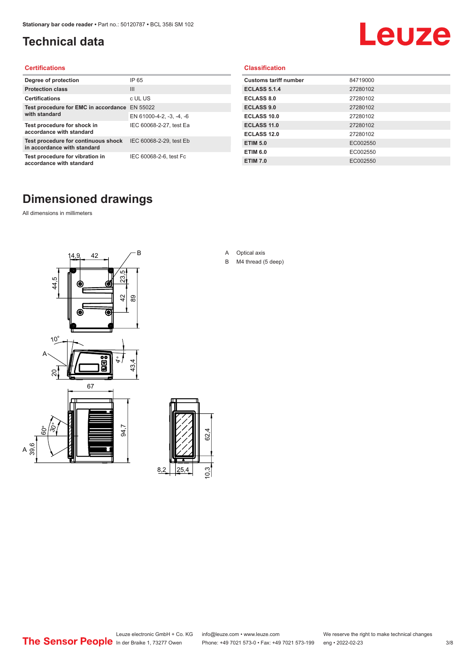### <span id="page-2-0"></span>**Technical data**

# Leuze

#### **Certifications**

| Degree of protection                                               | IP 65                    |
|--------------------------------------------------------------------|--------------------------|
| <b>Protection class</b>                                            | $\mathbf{III}$           |
| <b>Certifications</b>                                              | c UL US                  |
| Test procedure for EMC in accordance                               | EN 55022                 |
| with standard                                                      | EN 61000-4-2, -3, -4, -6 |
| Test procedure for shock in<br>accordance with standard            | IEC 60068-2-27, test Ea  |
| Test procedure for continuous shock<br>in accordance with standard | IEC 60068-2-29, test Eb  |
| Test procedure for vibration in<br>accordance with standard        | IEC 60068-2-6, test Fc   |

#### **Classification**

| <b>Customs tariff number</b> | 84719000 |
|------------------------------|----------|
| <b>ECLASS 5.1.4</b>          | 27280102 |
| <b>ECLASS 8.0</b>            | 27280102 |
| <b>ECLASS 9.0</b>            | 27280102 |
| ECLASS 10.0                  | 27280102 |
| <b>ECLASS 11.0</b>           | 27280102 |
| ECLASS 12.0                  | 27280102 |
| <b>ETIM 5.0</b>              | EC002550 |
| <b>ETIM 6.0</b>              | EC002550 |
| <b>ETIM 7.0</b>              | EC002550 |

### **Dimensioned drawings**

All dimensions in millimeters

 $\overline{A}$ 





- A Optical axis
- B M4 thread (5 deep)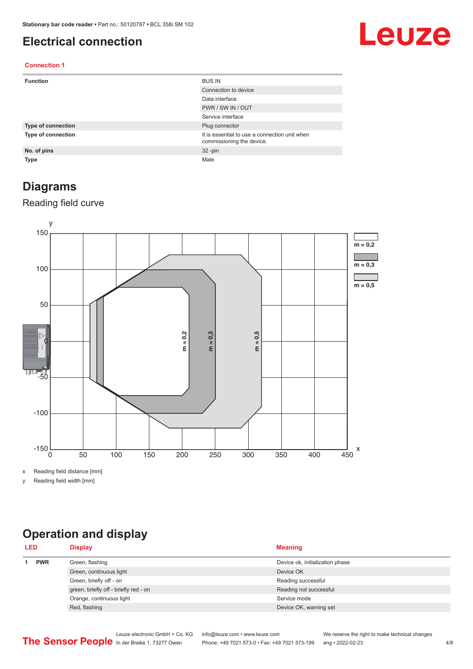#### <span id="page-3-0"></span>**Electrical connection**

# Leuze

#### **Connection 1**

| <b>Function</b>           | <b>BUS IN</b>                                                              |
|---------------------------|----------------------------------------------------------------------------|
|                           | Connection to device                                                       |
|                           | Data interface                                                             |
|                           | PWR / SW IN / OUT                                                          |
|                           | Service interface                                                          |
| <b>Type of connection</b> | Plug connector                                                             |
| <b>Type of connection</b> | It is essential to use a connection unit when<br>commissioning the device. |
| No. of pins               | $32 - pin$                                                                 |
| <b>Type</b>               | Male                                                                       |

#### **Diagrams**

#### Reading field curve



x Reading field distance [mm]

y Reading field width [mm]

### **Operation and display**

| <b>LED</b> | <b>Display</b>                        | <b>Meaning</b>                  |
|------------|---------------------------------------|---------------------------------|
| <b>PWR</b> | Green, flashing                       | Device ok, initialization phase |
|            | Green, continuous light               | Device OK                       |
|            | Green, briefly off - on               | Reading successful              |
|            | green, briefly off - briefly red - on | Reading not successful          |
|            | Orange, continuous light              | Service mode                    |
|            | Red, flashing                         | Device OK, warning set          |
|            |                                       |                                 |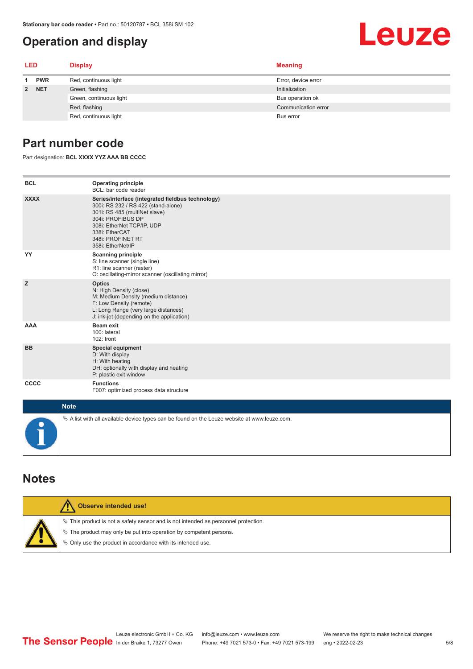#### <span id="page-4-0"></span>**Operation and display**

## Leuze

| <b>LED</b> |            | <b>Display</b>          | <b>Meaning</b>      |
|------------|------------|-------------------------|---------------------|
| 1          | <b>PWR</b> | Red, continuous light   | Error, device error |
|            | 2 NET      | Green, flashing         | Initialization      |
|            |            | Green, continuous light | Bus operation ok    |
|            |            | Red, flashing           | Communication error |
|            |            | Red, continuous light   | Bus error           |

#### **Part number code**

Part designation: **BCL XXXX YYZ AAA BB CCCC**

| <b>BCL</b>                                                                                      | <b>Operating principle</b><br>BCL: bar code reader                                                                                                                                                                                       |  |  |
|-------------------------------------------------------------------------------------------------|------------------------------------------------------------------------------------------------------------------------------------------------------------------------------------------------------------------------------------------|--|--|
| <b>XXXX</b>                                                                                     | Series/interface (integrated fieldbus technology)<br>300i: RS 232 / RS 422 (stand-alone)<br>301i: RS 485 (multiNet slave)<br>304i: PROFIBUS DP<br>308i: EtherNet TCP/IP, UDP<br>338i: EtherCAT<br>348i: PROFINET RT<br>358i: EtherNet/IP |  |  |
| YY                                                                                              | <b>Scanning principle</b><br>S: line scanner (single line)<br>R1: line scanner (raster)<br>O: oscillating-mirror scanner (oscillating mirror)                                                                                            |  |  |
| z                                                                                               | <b>Optics</b><br>N: High Density (close)<br>M: Medium Density (medium distance)<br>F: Low Density (remote)<br>L: Long Range (very large distances)<br>J: ink-jet (depending on the application)                                          |  |  |
| <b>AAA</b>                                                                                      | Beam exit<br>100: lateral<br>102: front                                                                                                                                                                                                  |  |  |
| <b>BB</b>                                                                                       | <b>Special equipment</b><br>D: With display<br>H: With heating<br>DH: optionally with display and heating<br>P: plastic exit window                                                                                                      |  |  |
| <b>CCCC</b>                                                                                     | <b>Functions</b><br>F007: optimized process data structure                                                                                                                                                                               |  |  |
| <b>Note</b>                                                                                     |                                                                                                                                                                                                                                          |  |  |
| $\&$ A list with all available device types can be found on the Leuze website at www.leuze.com. |                                                                                                                                                                                                                                          |  |  |

#### **Notes**

| Observe intended use!                                                                                                                                                                                                         |
|-------------------------------------------------------------------------------------------------------------------------------------------------------------------------------------------------------------------------------|
| $\%$ This product is not a safety sensor and is not intended as personnel protection.<br>$\%$ The product may only be put into operation by competent persons.<br>§ Only use the product in accordance with its intended use. |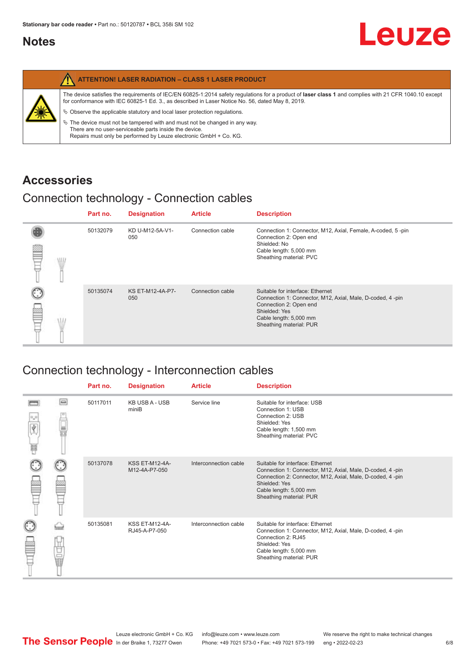#### <span id="page-5-0"></span>**Notes**

| <b>ATTENTION! LASER RADIATION - CLASS 1 LASER PRODUCT</b>                                                                                                                                                                                                                                                                                                                                                                                                                                                                                                   |
|-------------------------------------------------------------------------------------------------------------------------------------------------------------------------------------------------------------------------------------------------------------------------------------------------------------------------------------------------------------------------------------------------------------------------------------------------------------------------------------------------------------------------------------------------------------|
| The device satisfies the requirements of IEC/EN 60825-1:2014 safety requlations for a product of laser class 1 and complies with 21 CFR 1040.10 except<br>for conformance with IEC 60825-1 Ed. 3., as described in Laser Notice No. 56, dated May 8, 2019.<br>$\%$ Observe the applicable statutory and local laser protection regulations.<br>$\%$ The device must not be tampered with and must not be changed in any way.<br>There are no user-serviceable parts inside the device.<br>Repairs must only be performed by Leuze electronic GmbH + Co. KG. |

#### **Accessories**

#### Connection technology - Connection cables

|   | Part no. | <b>Designation</b>      | <b>Article</b>   | <b>Description</b>                                                                                                                                                                            |
|---|----------|-------------------------|------------------|-----------------------------------------------------------------------------------------------------------------------------------------------------------------------------------------------|
| œ | 50132079 | KD U-M12-5A-V1-<br>050  | Connection cable | Connection 1: Connector, M12, Axial, Female, A-coded, 5-pin<br>Connection 2: Open end<br>Shielded: No<br>Cable length: 5,000 mm<br>Sheathing material: PVC                                    |
|   | 50135074 | KS ET-M12-4A-P7-<br>050 | Connection cable | Suitable for interface: Ethernet<br>Connection 1: Connector, M12, Axial, Male, D-coded, 4-pin<br>Connection 2: Open end<br>Shielded: Yes<br>Cable length: 5,000 mm<br>Sheathing material: PUR |

### Connection technology - Interconnection cables

|                           |                                                                                                                                                                                                                                | Part no. | <b>Designation</b>                     | <b>Article</b>        | <b>Description</b>                                                                                                                                                                                                               |
|---------------------------|--------------------------------------------------------------------------------------------------------------------------------------------------------------------------------------------------------------------------------|----------|----------------------------------------|-----------------------|----------------------------------------------------------------------------------------------------------------------------------------------------------------------------------------------------------------------------------|
| $\frac{1}{\sqrt{2}}$<br>Ħ | $\Box$                                                                                                                                                                                                                         | 50117011 | <b>KB USB A - USB</b><br>miniB         | Service line          | Suitable for interface: USB<br>Connection 1: USB<br>Connection 2: USB<br>Shielded: Yes<br>Cable length: 1,500 mm<br>Sheathing material: PVC                                                                                      |
|                           |                                                                                                                                                                                                                                | 50137078 | <b>KSS ET-M12-4A-</b><br>M12-4A-P7-050 | Interconnection cable | Suitable for interface: Ethernet<br>Connection 1: Connector, M12, Axial, Male, D-coded, 4-pin<br>Connection 2: Connector, M12, Axial, Male, D-coded, 4-pin<br>Shielded: Yes<br>Cable length: 5,000 mm<br>Sheathing material: PUR |
|                           | the filled the control in the control in the control in the control in the control in the control in the control in the control in the control in the control in the control in the control in the control in the control in t | 50135081 | <b>KSS ET-M12-4A-</b><br>RJ45-A-P7-050 | Interconnection cable | Suitable for interface: Ethernet<br>Connection 1: Connector, M12, Axial, Male, D-coded, 4-pin<br>Connection 2: RJ45<br>Shielded: Yes<br>Cable length: 5,000 mm<br>Sheathing material: PUR                                        |

Leuze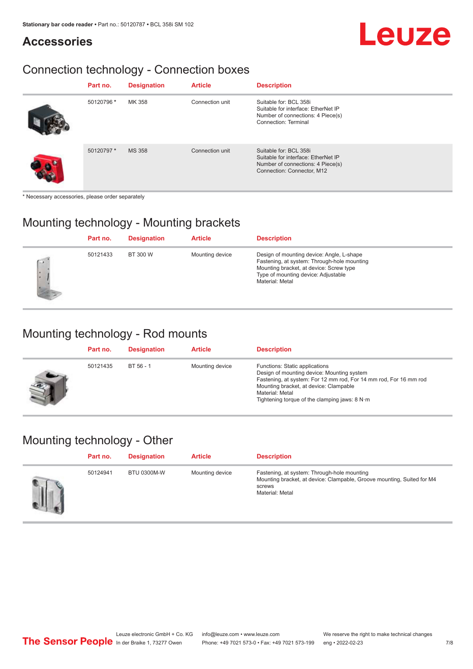#### **Accessories**

# Leuze

### Connection technology - Connection boxes

| Part no.   | <b>Designation</b> | <b>Article</b>  | <b>Description</b>                                                                                                               |
|------------|--------------------|-----------------|----------------------------------------------------------------------------------------------------------------------------------|
| 50120796 * | MK 358             | Connection unit | Suitable for: BCL 358i<br>Suitable for interface: EtherNet IP<br>Number of connections: 4 Piece(s)<br>Connection: Terminal       |
| 50120797*  | <b>MS 358</b>      | Connection unit | Suitable for: BCL 358i<br>Suitable for interface: EtherNet IP<br>Number of connections: 4 Piece(s)<br>Connection: Connector, M12 |

\* Necessary accessories, please order separately

#### Mounting technology - Mounting brackets

|      | Part no. | <b>Designation</b> | <b>Article</b>  | <b>Description</b>                                                                                                                                                                            |
|------|----------|--------------------|-----------------|-----------------------------------------------------------------------------------------------------------------------------------------------------------------------------------------------|
| $-1$ | 50121433 | BT 300 W           | Mounting device | Design of mounting device: Angle, L-shape<br>Fastening, at system: Through-hole mounting<br>Mounting bracket, at device: Screw type<br>Type of mounting device: Adjustable<br>Material: Metal |

#### Mounting technology - Rod mounts

| Part no. | <b>Designation</b> | <b>Article</b>  | <b>Description</b>                                                                                                                                                                                                                                                |
|----------|--------------------|-----------------|-------------------------------------------------------------------------------------------------------------------------------------------------------------------------------------------------------------------------------------------------------------------|
| 50121435 | BT 56 - 1          | Mounting device | Functions: Static applications<br>Design of mounting device: Mounting system<br>Fastening, at system: For 12 mm rod, For 14 mm rod, For 16 mm rod<br>Mounting bracket, at device: Clampable<br>Material: Metal<br>Tightening torque of the clamping jaws: $8 N·m$ |

#### Mounting technology - Other

| Part no. | <b>Designation</b> | <b>Article</b>  | <b>Description</b>                                                                                                                                 |
|----------|--------------------|-----------------|----------------------------------------------------------------------------------------------------------------------------------------------------|
| 50124941 | <b>BTU 0300M-W</b> | Mounting device | Fastening, at system: Through-hole mounting<br>Mounting bracket, at device: Clampable, Groove mounting, Suited for M4<br>screws<br>Material: Metal |